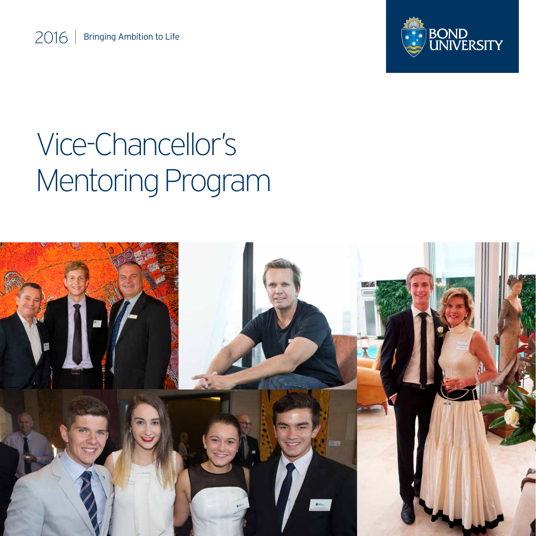

# Vice-Chancellor's Mentoring Program

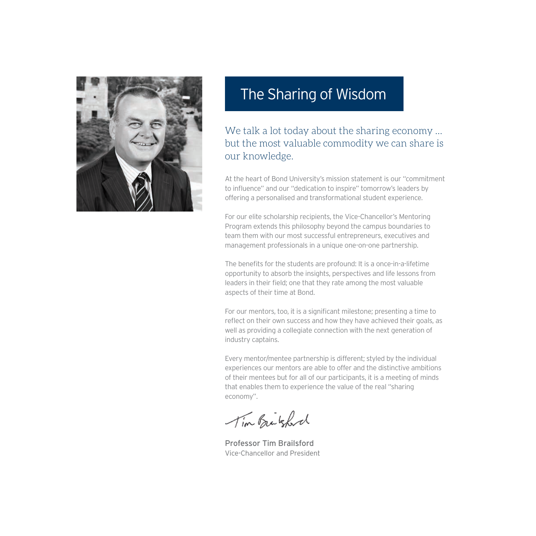

## The Sharing of Wisdom

We talk a lot today about the sharing economy ... but the most valuable commodity we can share is our knowledge.

At the heart of Bond University's mission statement is our "commitment to influence" and our "dedication to inspire" tomorrow's leaders by offering a personalised and transformational student experience.

For our elite scholarship recipients, the Vice-Chancellor's Mentoring Program extends this philosophy beyond the campus boundaries to team them with our most successful entrepreneurs, executives and management professionals in a unique one-on-one partnership.

The benefits for the students are profound: It is a once-in-a-lifetime opportunity to absorb the insights, perspectives and life lessons from leaders in their field; one that they rate among the most valuable aspects of their time at Bond.

For our mentors, too, it is a significant milestone; presenting a time to reflect on their own success and how they have achieved their goals, as well as providing a collegiate connection with the next generation of industry captains.

Every mentor/mentee partnership is different; styled by the individual experiences our mentors are able to offer and the distinctive ambitions of their mentees but for all of our participants, it is a meeting of minds that enables them to experience the value of the real "sharing economy".

Tim Britsford

Professor Tim Brailsford Vice-Chancellor and President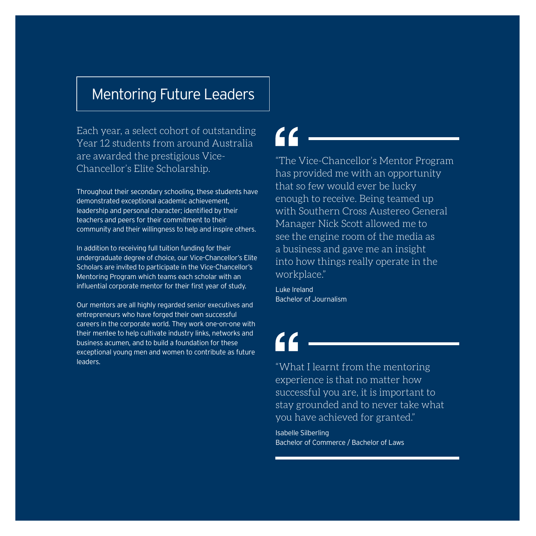## Mentoring Future Leaders

Each year, a select cohort of outstanding Year 12 students from around Australia are awarded the prestigious Vice-Chancellor's Elite Scholarship.

Throughout their secondary schooling, these students have demonstrated exceptional academic achievement, leadership and personal character; identified by their teachers and peers for their commitment to their community and their willingness to help and inspire others.

In addition to receiving full tuition funding for their undergraduate degree of choice, our Vice-Chancellor's Elite Scholars are invited to participate in the Vice-Chancellor's Mentoring Program which teams each scholar with an influential corporate mentor for their first year of study.

Our mentors are all highly regarded senior executives and entrepreneurs who have forged their own successful careers in the corporate world. They work one-on-one with their mentee to help cultivate industry links, networks and business acumen, and to build a foundation for these exceptional young men and women to contribute as future leaders.

"The Vice-Chancellor's Mentor Program has provided me with an opportunity that so few would ever be lucky enough to receive. Being teamed up with Southern Cross Austereo General Manager Nick Scott allowed me to see the engine room of the media as a business and gave me an insight into how things really operate in the workplace."

Luke Ireland Bachelor of Journalism

# $\epsilon$

"What I learnt from the mentoring experience is that no matter how successful you are, it is important to stay grounded and to never take what you have achieved for granted."

Isabelle Silberling Bachelor of Commerce / Bachelor of Laws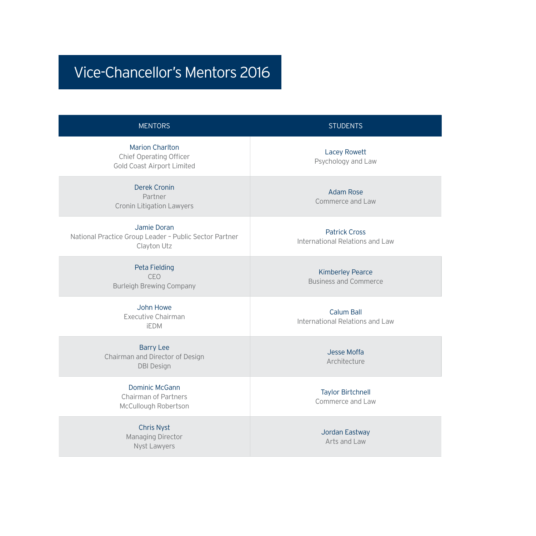# Vice-Chancellor's Mentors 2016

### MENTORS STUDENTS

Marion Charlton Chief Operating Officer Gold Coast Airport Limited

Derek Cronin Partner Cronin Litigation Lawyers

Jamie Doran National Practice Group Leader – Public Sector Partner Clayton Utz

> Peta Fielding CEO Burleigh Brewing Company

> > John Howe Executive Chairman iEDM

Barry Lee Chairman and Director of Design DBI Design

#### Dominic McGann

Chairman of Partners McCullough Robertson

Chris Nyst Managing Director Nyst Lawyers

Lacey Rowett Psychology and Law

Adam Rose Commerce and Law

Patrick Cross International Relations and Law

> Kimberley Pearce Business and Commerce

Calum Ball International Relations and Law

> Jesse Moffa Architecture

Taylor Birtchnell Commerce and Law

> Jordan Eastway Arts and Law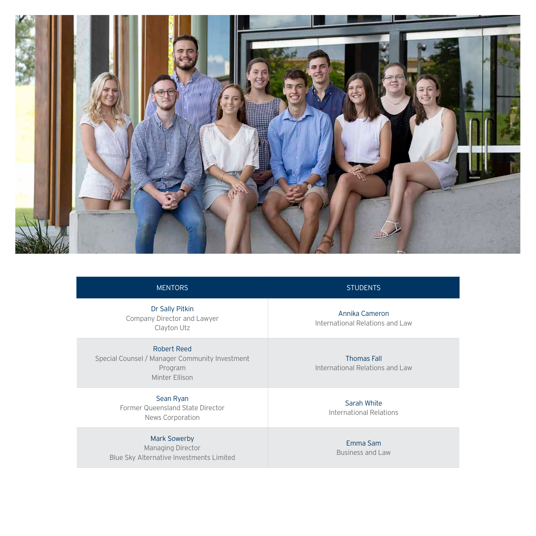

#### MENTORS STUDENTS

Dr Sally Pitkin Company Director and Lawyer Clayton Utz

Robert Reed Special Counsel / Manager Community Investment Program Minter Ellison

### Sean Ryan

Former Queensland State Director News Corporation

#### Mark Sowerby Managing Director

Blue Sky Alternative Investments Limited

Annika Cameron International Relations and Law

Thomas Fall International Relations and Law

> Sarah White International Relations

> > Emma Sam Business and Law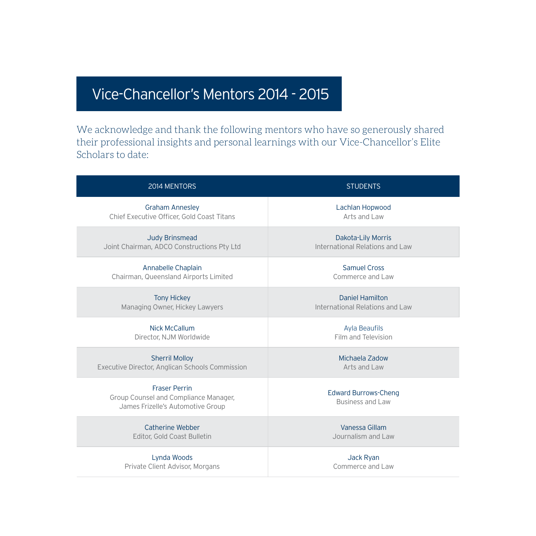# Vice-Chancellor's Mentors 2014 - 2015

We acknowledge and thank the following mentors who have so generously shared their professional insights and personal learnings with our Vice-Chancellor's Elite Scholars to date:

| 2014 MENTORS                                                                                       | <b>STUDENTS</b>                                        |
|----------------------------------------------------------------------------------------------------|--------------------------------------------------------|
| <b>Graham Annesley</b>                                                                             | Lachlan Hopwood                                        |
| Chief Executive Officer, Gold Coast Titans                                                         | Arts and Law                                           |
| <b>Judy Brinsmead</b>                                                                              | <b>Dakota-Lily Morris</b>                              |
| Joint Chairman, ADCO Constructions Pty Ltd                                                         | International Relations and Law                        |
| Annabelle Chaplain                                                                                 | Samuel Cross                                           |
| Chairman, Queensland Airports Limited                                                              | Commerce and Law                                       |
| <b>Tony Hickey</b>                                                                                 | Daniel Hamilton                                        |
| Managing Owner, Hickey Lawyers                                                                     | International Relations and Law                        |
| Nick McCallum                                                                                      | <b>Ayla Beaufils</b>                                   |
| Director, NJM Worldwide                                                                            | Film and Television                                    |
| <b>Sherril Molloy</b>                                                                              | Michaela Zadow                                         |
| Executive Director, Anglican Schools Commission                                                    | Arts and Law                                           |
| <b>Fraser Perrin</b><br>Group Counsel and Compliance Manager,<br>James Frizelle's Automotive Group | <b>Edward Burrows-Cheng</b><br><b>Business and Law</b> |
| Catherine Webber                                                                                   | Vanessa Gillam                                         |
| Editor, Gold Coast Bulletin                                                                        | Journalism and Law                                     |
| Lynda Woods                                                                                        | Jack Ryan                                              |
| Private Client Advisor, Morgans                                                                    | Commerce and Law                                       |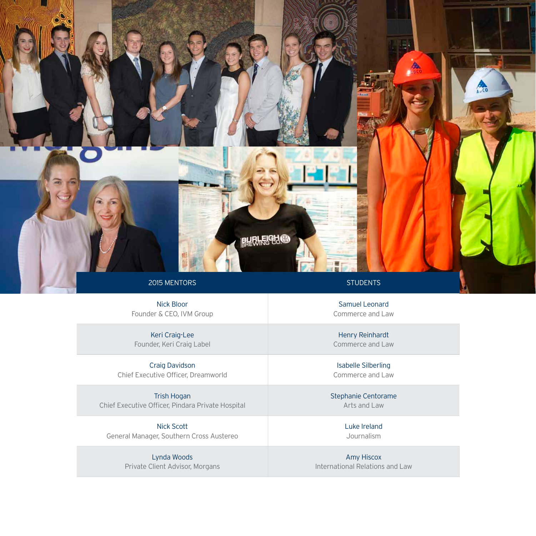

Nick Bloor Founder & CEO, IVM Group

Keri Craig-Lee Founder, Keri Craig Label

Craig Davidson Chief Executive Officer, Dreamworld

Trish Hogan Chief Executive Officer, Pindara Private Hospital

Nick Scott General Manager, Southern Cross Austereo

> Lynda Woods Private Client Advisor, Morgans

Samuel Leonard Commerce and Law

Henry Reinhardt Commerce and Law

Isabelle Silberling Commerce and Law

Stephanie Centorame Arts and Law

> Luke Ireland Journalism

Amy Hiscox International Relations and Law